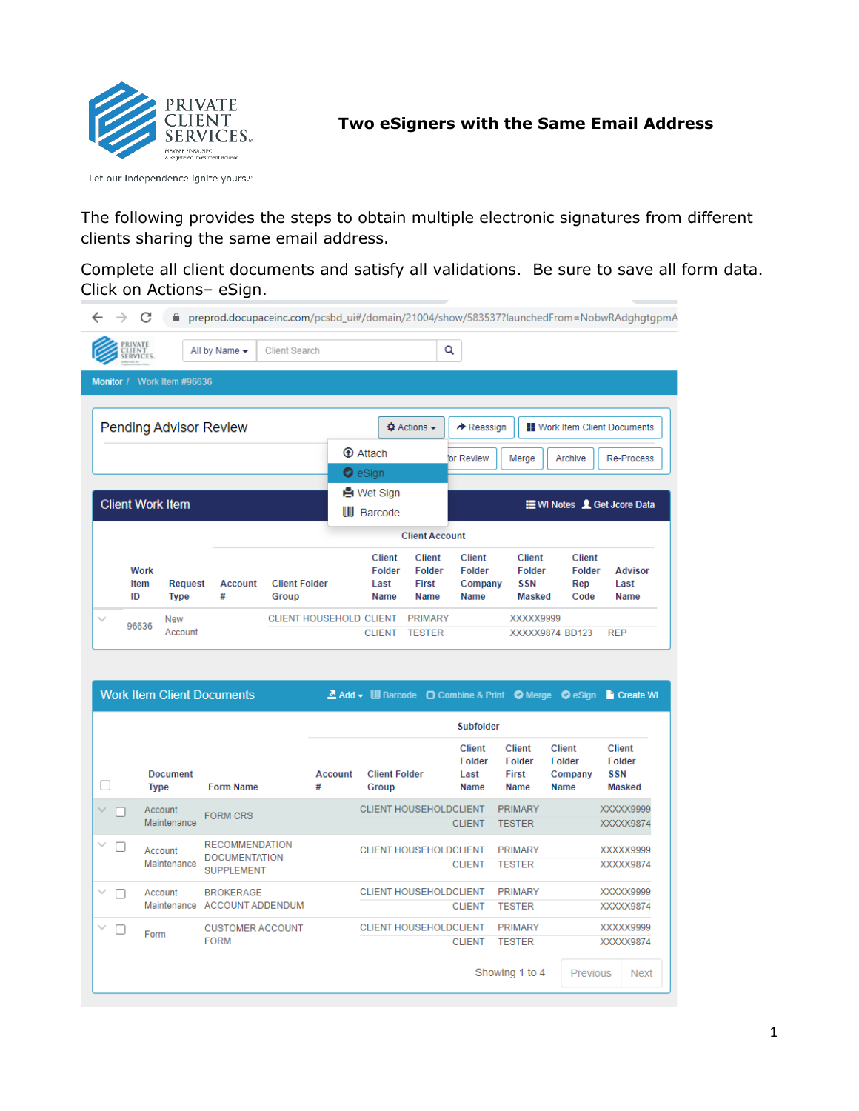

Let our independence ignite yours.™

The following provides the steps to obtain multiple electronic signatures from different clients sharing the same email address.

Complete all client documents and satisfy all validations. Be sure to save all form data. Click on Actions– eSign.

|                  | RIVATE                    |                               | All by Name $\star$ | Client Search                  |                                                | Q                                               |                                                          |                                                               |                                               |                                       |
|------------------|---------------------------|-------------------------------|---------------------|--------------------------------|------------------------------------------------|-------------------------------------------------|----------------------------------------------------------|---------------------------------------------------------------|-----------------------------------------------|---------------------------------------|
| <b>Monitor</b> / |                           | Work Item #96636              |                     |                                |                                                |                                                 |                                                          |                                                               |                                               |                                       |
|                  |                           | <b>Pending Advisor Review</b> |                     |                                |                                                | $\Phi$ Actions $\sim$                           | $\rightarrow$ Reassign                                   |                                                               | <b>HE</b> Work Item Client Documents          |                                       |
|                  |                           |                               |                     |                                | <b>T</b> Attach                                |                                                 | for Review                                               | Merge                                                         | Archive                                       | <b>Re-Process</b>                     |
|                  |                           |                               |                     |                                |                                                |                                                 |                                                          |                                                               |                                               |                                       |
|                  |                           |                               |                     |                                | $\bullet$ eSign                                |                                                 |                                                          |                                                               |                                               |                                       |
|                  |                           |                               |                     |                                | <b>A</b> Wet Sign                              |                                                 |                                                          |                                                               |                                               |                                       |
|                  | <b>Client Work Item</b>   |                               |                     |                                | $\  \, \  \,$<br>Barcode                       |                                                 |                                                          |                                                               | <b>E</b> WI Notes <b>1</b> Get Jcore Data     |                                       |
|                  |                           |                               |                     |                                |                                                | <b>Client Account</b>                           |                                                          |                                                               |                                               |                                       |
|                  | <b>Work</b><br>Item<br>ID | <b>Request</b><br><b>Type</b> | <b>Account</b><br># | <b>Client Folder</b><br>Group  | <b>Client</b><br><b>Folder</b><br>Last<br>Name | <b>Client</b><br><b>Folder</b><br>First<br>Name | <b>Client</b><br><b>Folder</b><br>Company<br><b>Name</b> | <b>Client</b><br><b>Folder</b><br><b>SSN</b><br><b>Masked</b> | <b>Client</b><br><b>Folder</b><br>Rep<br>Code | <b>Advisor</b><br>Last<br><b>Name</b> |
| $\checkmark$     | 96636                     | <b>New</b>                    |                     | <b>CLIENT HOUSEHOLD CLIENT</b> |                                                | <b>PRIMARY</b>                                  |                                                          | XXXXX9999                                                     |                                               |                                       |

**Work Item Client Documents** 

Z Add - |||| Barcode O Combine & Print O Merge O eSign D Create WI

|                   |                                |                                                                    |              |                               | <b>Subfolder</b>                               |                                                 |                                                   |                                                               |
|-------------------|--------------------------------|--------------------------------------------------------------------|--------------|-------------------------------|------------------------------------------------|-------------------------------------------------|---------------------------------------------------|---------------------------------------------------------------|
|                   | <b>Document</b><br><b>Type</b> | <b>Form Name</b>                                                   | Account<br># | <b>Client Folder</b><br>Group | <b>Client</b><br><b>Folder</b><br>Last<br>Name | <b>Client</b><br><b>Folder</b><br>First<br>Name | <b>Client</b><br><b>Folder</b><br>Company<br>Name | <b>Client</b><br><b>Folder</b><br><b>SSN</b><br><b>Masked</b> |
| $\checkmark$      | Account<br>Maintenance         | <b>FORM CRS</b>                                                    |              | <b>CLIENT HOUSEHOLDCLIENT</b> | <b>CLIENT</b>                                  | <b>PRIMARY</b><br><b>TESTER</b>                 |                                                   | XXXXX9999<br>XXXXX9874                                        |
| $\checkmark$<br>Г | Account<br>Maintenance         | <b>RECOMMENDATION</b><br><b>DOCUMENTATION</b><br><b>SUPPLEMENT</b> |              | <b>CLIENT HOUSEHOLDCLIENT</b> | <b>CLIENT</b>                                  | <b>PRIMARY</b><br><b>TESTER</b>                 |                                                   | XXXXX9999<br>XXXXX9874                                        |
| $\checkmark$      | Account<br>Maintenance         | <b>BROKERAGE</b><br><b>ACCOUNT ADDENDUM</b>                        |              | <b>CLIENT HOUSEHOLDCLIENT</b> | <b>CLIENT</b>                                  | <b>PRIMARY</b><br><b>TESTER</b>                 |                                                   | XXXXX9999<br>XXXXX9874                                        |
| $\checkmark$      | Form                           | <b>CUSTOMER ACCOUNT</b><br><b>FORM</b>                             |              | <b>CLIENT HOUSEHOLDCLIENT</b> | <b>CLIENT</b>                                  | <b>PRIMARY</b><br><b>TESTER</b>                 |                                                   | XXXXX9999<br>XXXXX9874                                        |
|                   |                                |                                                                    |              |                               |                                                | Showing 1 to 4                                  | Previous                                          | <b>Next</b>                                                   |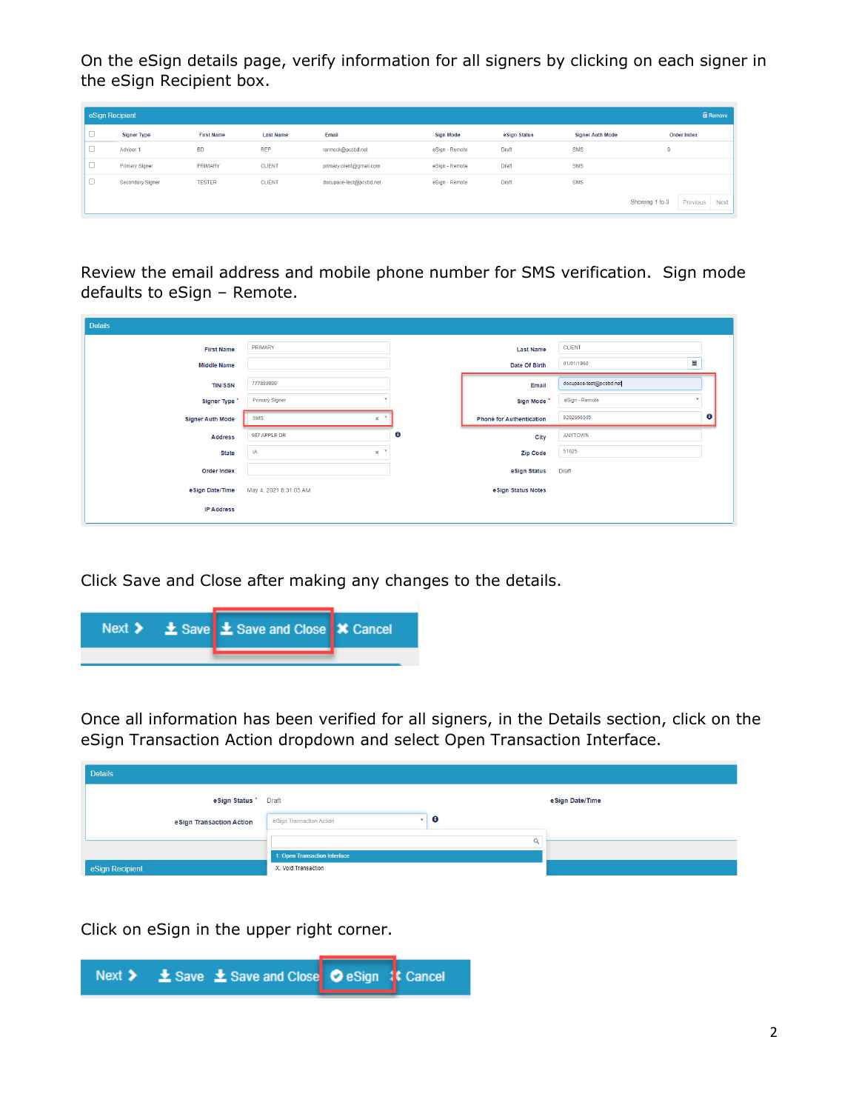On the eSign details page, verify information for all signers by clicking on each signer in the eSign Recipient box.

| eSign Recipient               |                       |                   |                  |                          |                  |              |                         | <b>m</b> Remove                           |
|-------------------------------|-----------------------|-------------------|------------------|--------------------------|------------------|--------------|-------------------------|-------------------------------------------|
| $\overline{\phantom{a}}$<br>◡ | <b>Signer Type</b>    | <b>First Name</b> | <b>Last Name</b> | Email                    | <b>Sign Mode</b> | eSign Status | <b>Signer Auth Mode</b> | <b>Order Index</b>                        |
| $\overline{\phantom{a}}$<br>U | Advisor 1             | <b>BD</b>         | <b>REP</b>       | rarmock@pcsbd.net        | eSign - Remote   | Draft        | SMS                     | 9                                         |
| $\sim$<br>◡                   | <b>Primary Signer</b> | PRIMARY           | <b>CLIENT</b>    | primary.client@gmail.com | eSign - Remote   | Draft        | SMS                     |                                           |
| $\sim$<br>U                   | Secondary Signer      | <b>TESTER</b>     | <b>CLIENT</b>    | docupace-test@pcsbd.net  | eSign - Remote   | Draft        | SMS                     |                                           |
|                               |                       |                   |                  |                          |                  |              |                         | Showing 1 to 3<br>Previous<br><b>Next</b> |

Review the email address and mobile phone number for SMS verification. Sign mode defaults to eSign – Remote.

| <b>Details</b>          |                                       |           |                                 |                         |  |
|-------------------------|---------------------------------------|-----------|---------------------------------|-------------------------|--|
| <b>First Name</b>       | PRIMARY                               |           | <b>Last Name</b>                | <b>CLIENT</b>           |  |
| <b>Middle Name</b>      |                                       |           | Date Of Birth                   | Ë<br>01/01/1960         |  |
| <b>TIN/SSN</b>          | 777889999                             |           | Email                           | docupace-test@pcsbd.net |  |
| Signer Type *           | <b>Primary Signer</b>                 |           | Sign Mode <sup>*</sup>          | eSign - Remote          |  |
| <b>Signer Auth Mode</b> | <b>SMS</b><br>$\times$ $\overline{ }$ |           | <b>Phone for Authentication</b> | $\bullet$<br>9202056505 |  |
| <b>Address</b>          | 987 APPLE DR                          | $\bullet$ | City                            | ANYTOWN                 |  |
| <b>State</b>            | $\times$ $^{-\tau}$<br>IA             |           | Zip Code                        | 51025                   |  |
| Order Index             |                                       |           | eSign Status                    | Draft                   |  |
| e Sign Date/Time        | May 4, 2021 8:31:05 AM                |           | eSign Status Notes              |                         |  |
| <b>IP Address</b>       |                                       |           |                                 |                         |  |
|                         |                                       |           |                                 |                         |  |

Click Save and Close after making any changes to the details.

|  | Next > $\frac{1}{2}$ Save $\frac{1}{2}$ Save and Close   X Cancel |  |
|--|-------------------------------------------------------------------|--|
|  |                                                                   |  |

Once all information has been verified for all signers, in the Details section, click on the eSign Transaction Action dropdown and select Open Transaction Interface.

| <b>Details</b>            |                               |                  |
|---------------------------|-------------------------------|------------------|
| eSign Status *            | Draft                         | e Sign Date/Time |
| e Sign Transaction Action | ۰<br>eSign Transaction Action |                  |
|                           |                               |                  |
|                           | 1. Open Transaction Interface |                  |
| eSign Recipient           | X. Void Transaction           |                  |

Click on eSign in the upper right corner.

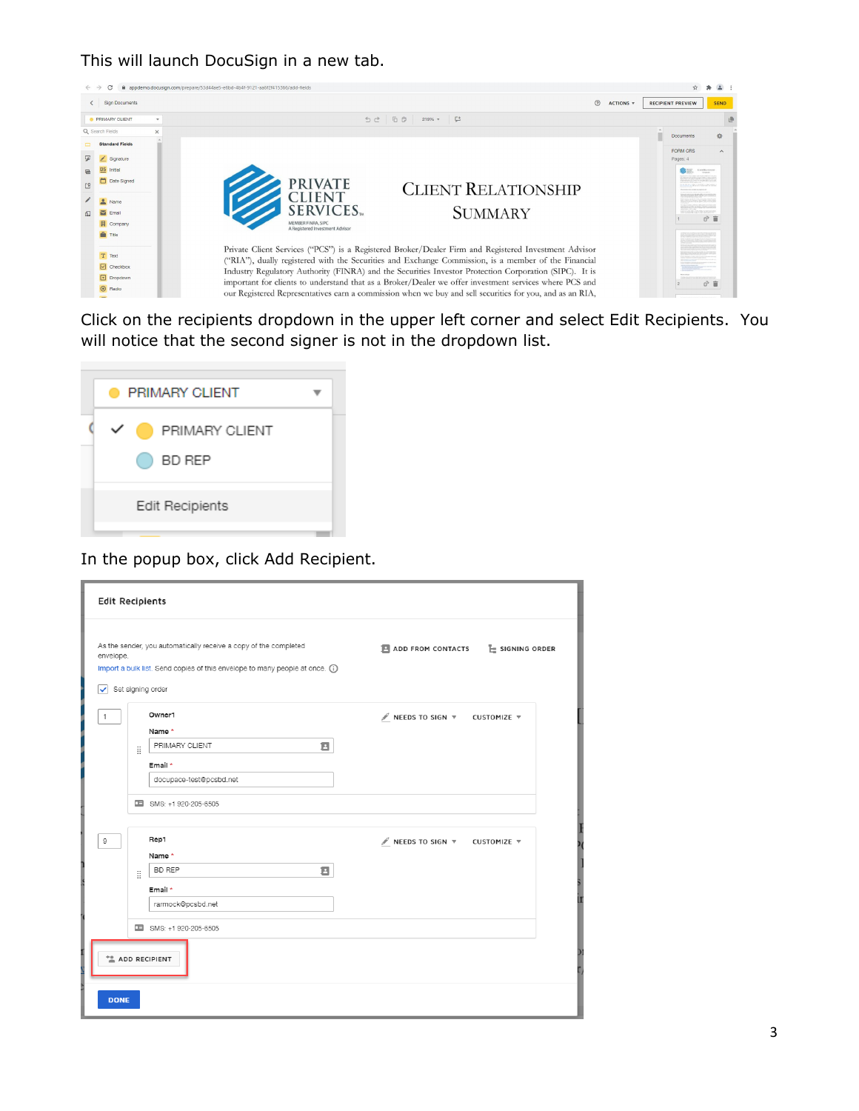This will launch DocuSign in a new tab.



Click on the recipients dropdown in the upper left corner and select Edit Recipients. You will notice that the second signer is not in the dropdown list.



In the popup box, click Add Recipient.

| <b>Edit Recipients</b> |   |                                                                                                                                                                       |                                                            |
|------------------------|---|-----------------------------------------------------------------------------------------------------------------------------------------------------------------------|------------------------------------------------------------|
| envelope.<br>✓         |   | As the sender, you automatically receive a copy of the completed<br>Import a bulk list. Send copies of this envelope to many people at once. (i)<br>Set signing order | ADD FROM CONTACTS<br>$E$ signing order                     |
| 1                      |   | Owner1                                                                                                                                                                | $\mathscr N$ NEEDS TO SIGN $\nabla$<br>CUSTOMIZE $\forall$ |
|                        |   | Name *<br>PRIMARY CLIENT<br>Ξ                                                                                                                                         |                                                            |
|                        | H | Email *                                                                                                                                                               |                                                            |
|                        |   | docupace-test@pcsbd.net                                                                                                                                               |                                                            |
|                        |   | SMS: +1 920-205-6505                                                                                                                                                  |                                                            |
|                        |   | Rep1                                                                                                                                                                  |                                                            |
| 9                      |   | Name*                                                                                                                                                                 | NEEDS TO SIGN V CUSTOMIZE V                                |
|                        | B | Ξ<br><b>BD REP</b>                                                                                                                                                    |                                                            |
|                        |   | Email *                                                                                                                                                               |                                                            |
|                        |   | rarmock@pcsbd.net                                                                                                                                                     |                                                            |
|                        |   | SMS: +1 920-205-6505                                                                                                                                                  |                                                            |
|                        |   | <sup>+</sup> <sup>®</sup> ADD RECIPIENT                                                                                                                               |                                                            |
| <b>DONE</b>            |   |                                                                                                                                                                       |                                                            |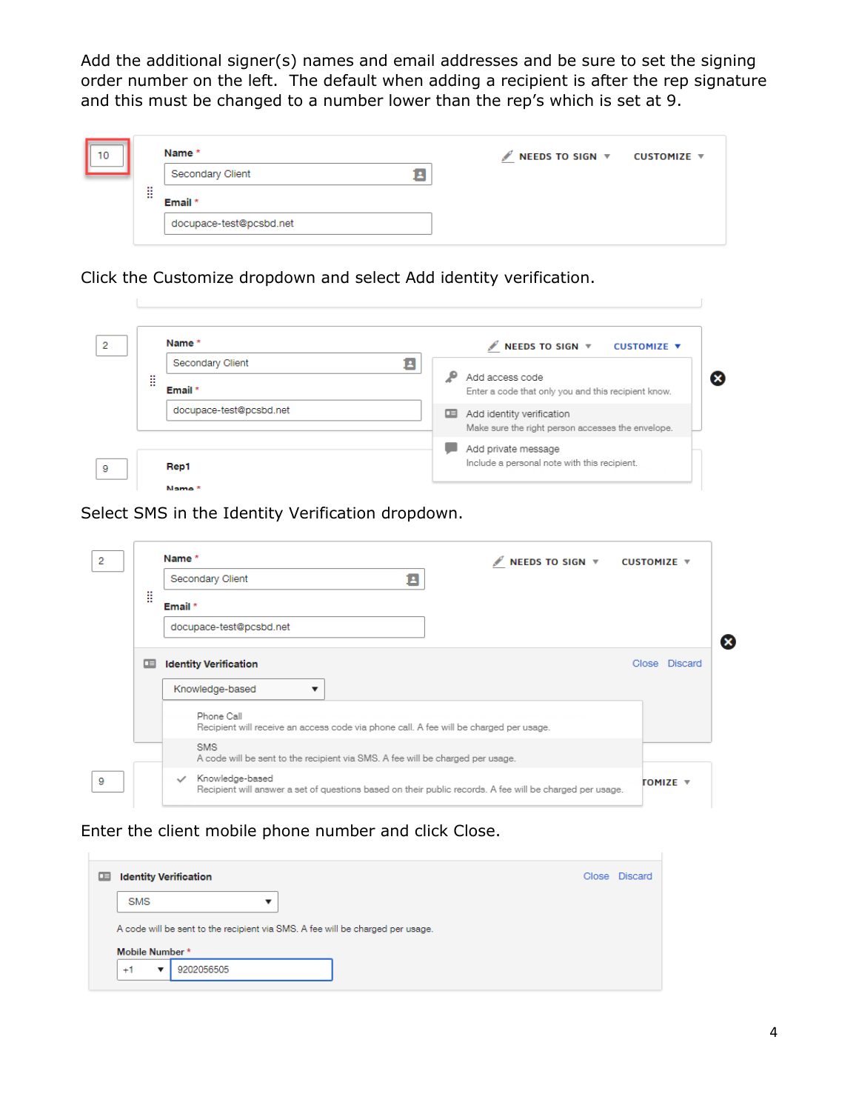Add the additional signer(s) names and email addresses and be sure to set the signing order number on the left. The default when adding a recipient is after the rep signature and this must be changed to a number lower than the rep's which is set at 9.

| 10 |           | Name *                  | $\mathscr N$ NEEDS TO SIGN $\mathscr V$ CUSTOMIZE $\mathscr V$ |  |
|----|-----------|-------------------------|----------------------------------------------------------------|--|
|    |           | Secondary Client        |                                                                |  |
|    | <br>m<br> | Email *                 |                                                                |  |
|    |           | docupace-test@pcsbd.net |                                                                |  |

Click the Customize dropdown and select Add identity verification.

|   | Name *                  |    | NEEDS TO SIGN V CUSTOMIZE V                         |
|---|-------------------------|----|-----------------------------------------------------|
|   | Secondary Client        | E. |                                                     |
| B |                         |    | Add access code                                     |
|   | Email *                 |    | Enter a code that only you and this recipient know. |
|   | docupace-test@pcsbd.net | ⊞  | Add identity verification                           |
|   |                         |    | Make sure the right person accesses the envelope.   |
|   |                         |    | Add private message                                 |
|   | Rep1                    |    | Include a personal note with this recipient.        |

Select SMS in the Identity Verification dropdown.

| 2 |   | Name *                                                                                                                                                  | NEEDS TO SIGN ▼ CUSTOMIZE ▼ |               |
|---|---|---------------------------------------------------------------------------------------------------------------------------------------------------------|-----------------------------|---------------|
|   |   | 8<br>Secondary Client                                                                                                                                   |                             |               |
|   | H | Email *                                                                                                                                                 |                             |               |
|   |   | docupace-test@pcsbd.net                                                                                                                                 |                             | ×             |
|   | œ | <b>Identity Verification</b><br>Knowledge-based<br>Phone Call<br>Recipient will receive an access code via phone call. A fee will be charged per usage. |                             | Close Discard |
|   |   | SMS<br>A code will be sent to the recipient via SMS. A fee will be charged per usage.                                                                   |                             |               |
| 9 |   | Knowledge-based<br>$\checkmark$<br>Recipient will answer a set of questions based on their public records. A fee will be charged per usage.             |                             | TOMIZE ▼      |

Enter the client mobile phone number and click Close.

|                 | <b>Identity Verification</b>                                                   |  |  |  |  | Close Discard |  |
|-----------------|--------------------------------------------------------------------------------|--|--|--|--|---------------|--|
| <b>SMS</b>      |                                                                                |  |  |  |  |               |  |
|                 |                                                                                |  |  |  |  |               |  |
|                 |                                                                                |  |  |  |  |               |  |
|                 | A code will be sent to the recipient via SMS. A fee will be charged per usage. |  |  |  |  |               |  |
| Mobile Number * |                                                                                |  |  |  |  |               |  |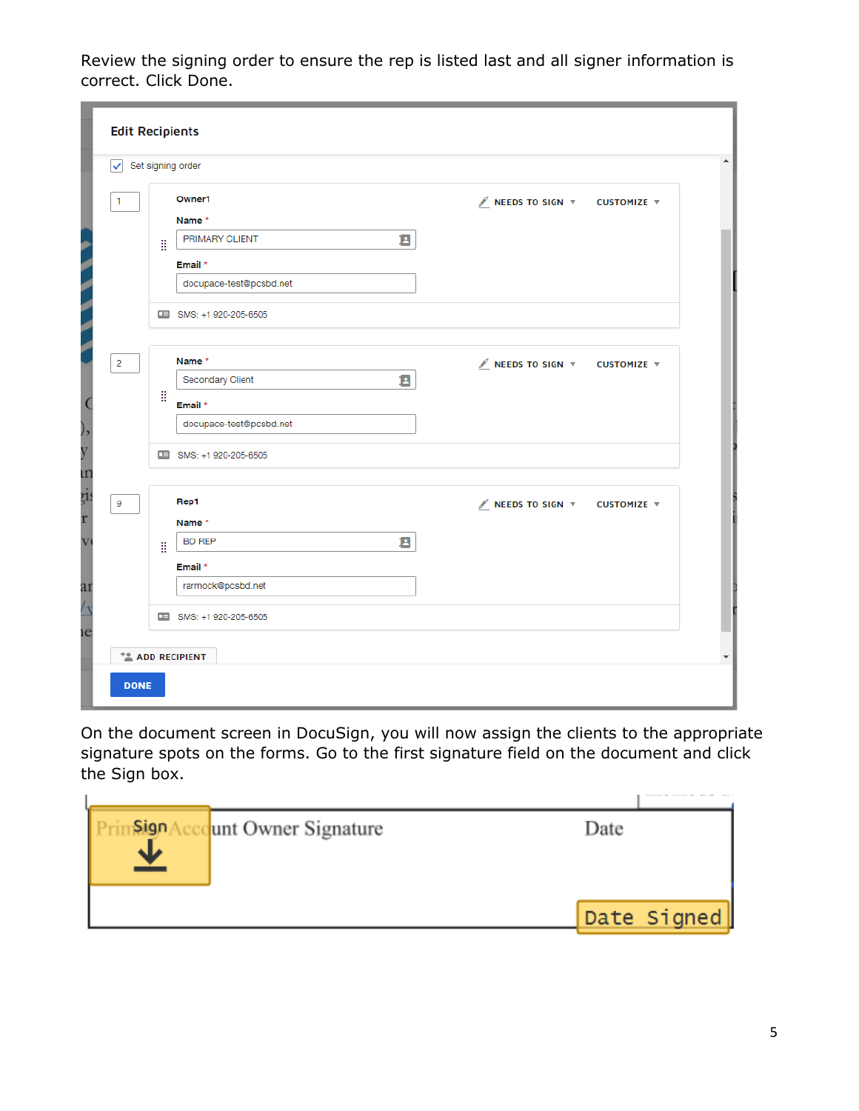Review the signing order to ensure the rep is listed last and all signer information is correct. Click Done.

| ✓              |   | Set signing order       |   |                                                                |  |
|----------------|---|-------------------------|---|----------------------------------------------------------------|--|
| 1              |   | Owner1                  |   | NEEDS TO SIGN W CUSTOMIZE W                                    |  |
|                |   | Name *                  |   |                                                                |  |
|                | H | PRIMARY CLIENT          | Е |                                                                |  |
|                |   | Email *                 |   |                                                                |  |
|                |   | docupace-test@pcsbd.net |   |                                                                |  |
|                |   | SMS: +1 920-205-6505    |   |                                                                |  |
| $\overline{2}$ |   | Name*                   |   | NEEDS TO SIGN W CUSTOMIZE W                                    |  |
|                |   | Secondary Client        | Е |                                                                |  |
|                | H | Email *                 |   |                                                                |  |
|                |   | docupace-test@pcsbd.net |   |                                                                |  |
|                |   | SMS: +1 920-205-6505    |   |                                                                |  |
| 9              |   | Rep1                    |   | $\mathscr N$ NEEDS TO SIGN $\mathscr V$ CUSTOMIZE $\mathscr V$ |  |
|                |   | Name *                  |   |                                                                |  |
|                | H | <b>BD REP</b>           | Е |                                                                |  |
|                |   | Email *                 |   |                                                                |  |
|                |   | rarmock@pcsbd.net       |   |                                                                |  |
|                |   | SMS: +1 920-205-6505    |   |                                                                |  |

On the document screen in DocuSign, you will now assign the clients to the appropriate signature spots on the forms. Go to the first signature field on the document and click the Sign box.

| Sign | unt Owner Signature | Date |             |
|------|---------------------|------|-------------|
|      |                     |      |             |
|      |                     |      |             |
|      |                     |      |             |
|      |                     |      | Date Signed |
|      |                     |      |             |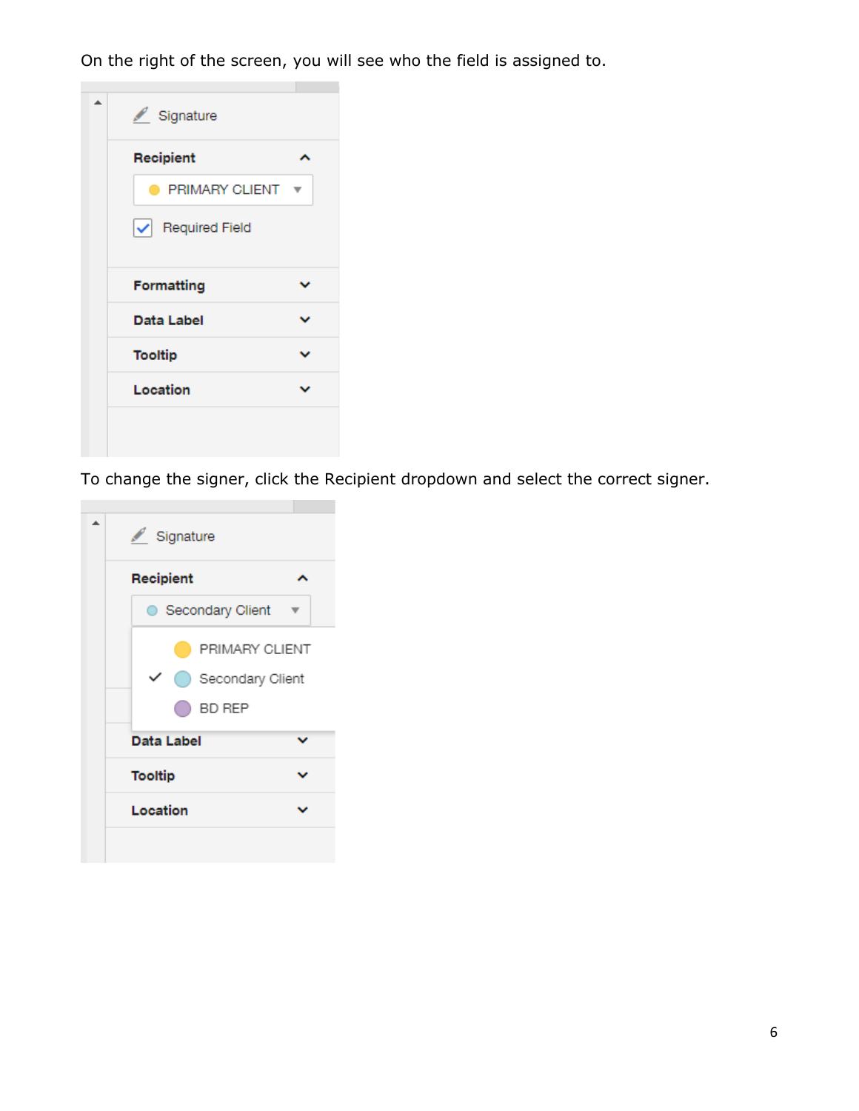On the right of the screen, you will see who the field is assigned to.



To change the signer, click the Recipient dropdown and select the correct signer.

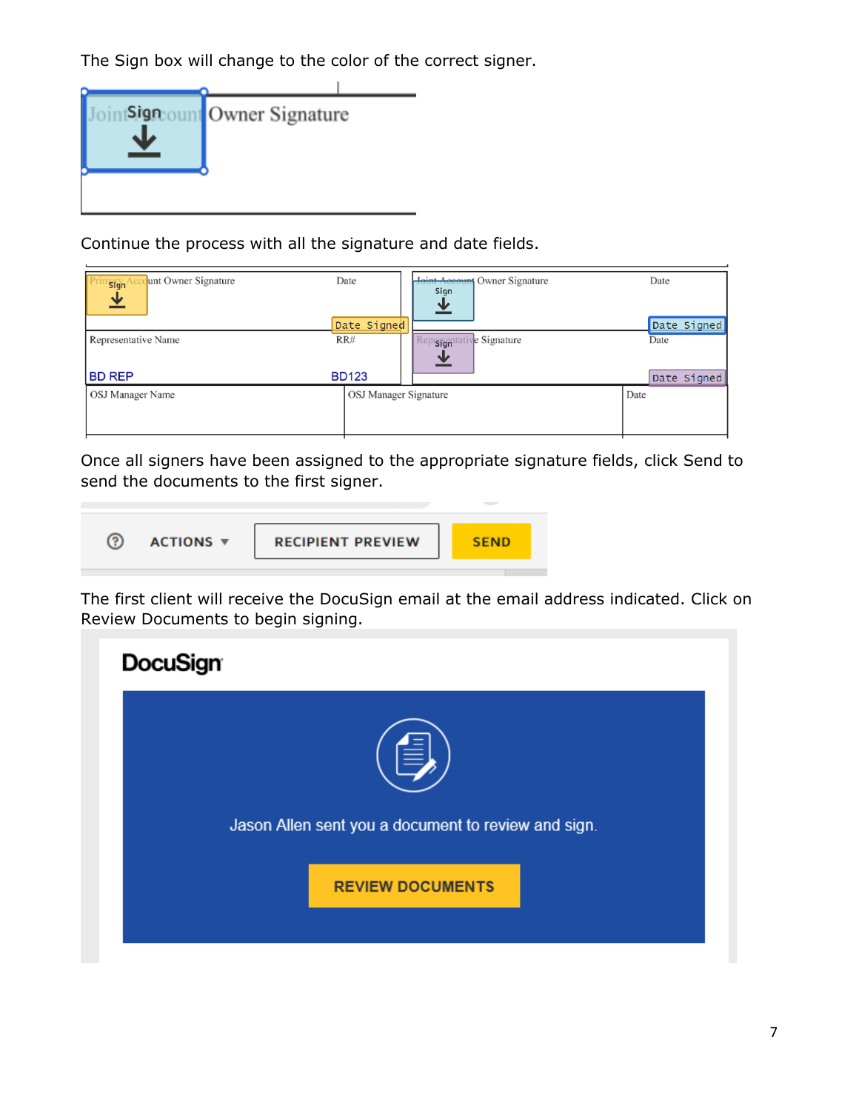The Sign box will change to the color of the correct signer.

|--|

Continue the process with all the signature and date fields.

| unt Owner Signature<br>Sign<br>业     | Date<br>Date Signed   | Joint Account Owner Signature<br>Sign<br><u>业</u> | Date<br>Date Signed |
|--------------------------------------|-----------------------|---------------------------------------------------|---------------------|
| Representative Name<br><b>BD REP</b> | RR#<br><b>BD123</b>   | Representative Signature                          | Date<br>Date Signed |
| OSJ Manager Name                     | OSJ Manager Signature |                                                   | Date                |

Once all signers have been assigned to the appropriate signature fields, click Send to send the documents to the first signer.



The first client will receive the DocuSign email at the email address indicated. Click on Review Documents to begin signing.

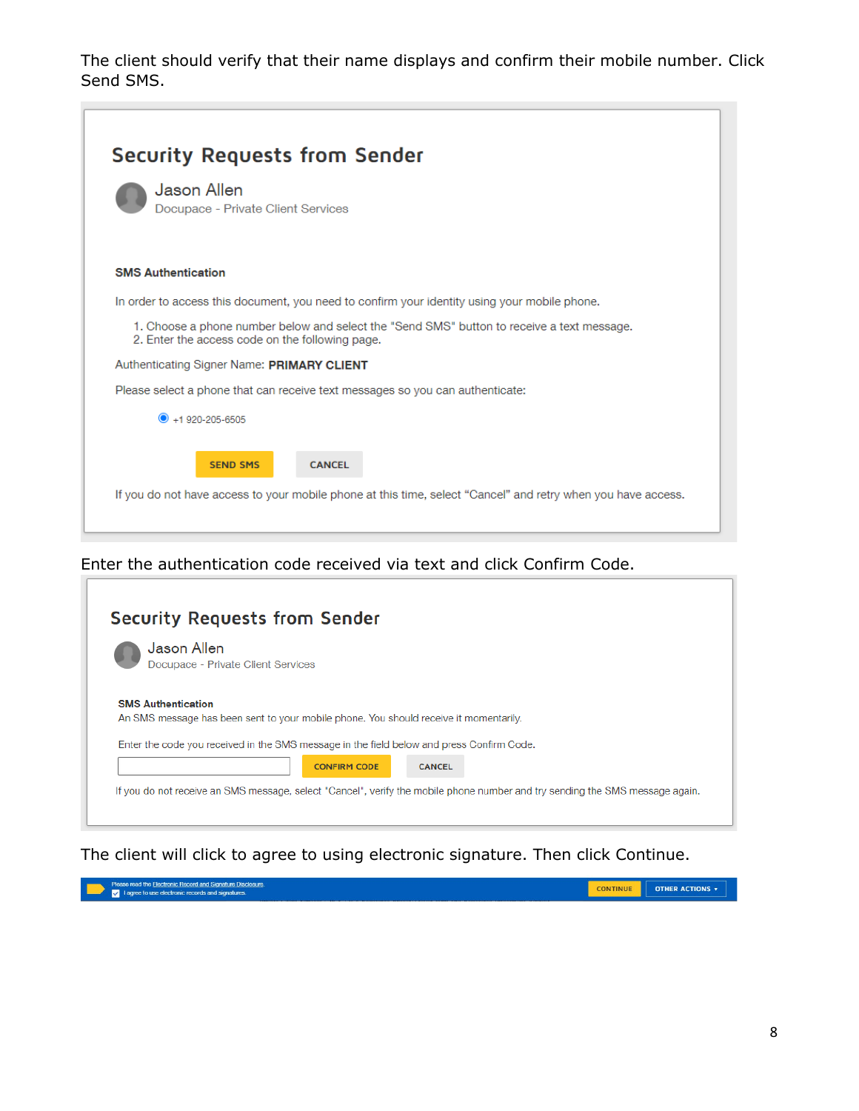The client should verify that their name displays and confirm their mobile number. Click Send SMS.

|                                                                                                                                               | <b>Security Requests from Sender</b>                                                                                                             |  |
|-----------------------------------------------------------------------------------------------------------------------------------------------|--------------------------------------------------------------------------------------------------------------------------------------------------|--|
| <b>Jason Allen</b>                                                                                                                            | Docupace - Private Client Services                                                                                                               |  |
| <b>SMS Authentication</b>                                                                                                                     |                                                                                                                                                  |  |
|                                                                                                                                               | In order to access this document, you need to confirm your identity using your mobile phone.                                                     |  |
| 1. Choose a phone number below and select the "Send SMS" button to receive a text message.<br>2. Enter the access code on the following page. |                                                                                                                                                  |  |
|                                                                                                                                               | Authenticating Signer Name: PRIMARY CLIENT                                                                                                       |  |
|                                                                                                                                               | Please select a phone that can receive text messages so you can authenticate:                                                                    |  |
| $\bullet$ +1.920-205-6505                                                                                                                     |                                                                                                                                                  |  |
|                                                                                                                                               | <b>CANCEL</b><br><b>SEND SMS</b><br>If you do not have access to your mobile phone at this time, select "Cancel" and retry when you have access. |  |
|                                                                                                                                               |                                                                                                                                                  |  |

Enter the authentication code received via text and click Confirm Code.

 $\sqrt{2}$ 

| <b>Security Requests from Sender</b>                                                                                         |
|------------------------------------------------------------------------------------------------------------------------------|
| Jason Allen<br>Docupace - Private Client Services                                                                            |
| <b>SMS Authentication</b><br>An SMS message has been sent to your mobile phone. You should receive it momentarily.           |
| Enter the code you received in the SMS message in the field below and press Confirm Code.                                    |
| <b>CONFIRM CODE</b><br><b>CANCEL</b>                                                                                         |
| If you do not receive an SMS message, select "Cancel", verify the mobile phone number and try sending the SMS message again. |
|                                                                                                                              |

The client will click to agree to using electronic signature. Then click Continue.

Please read the Electronic Record and Signature Disclosure.<br>I agree to use electronic records and signatures. CONTINUE OTHER ACTIONS v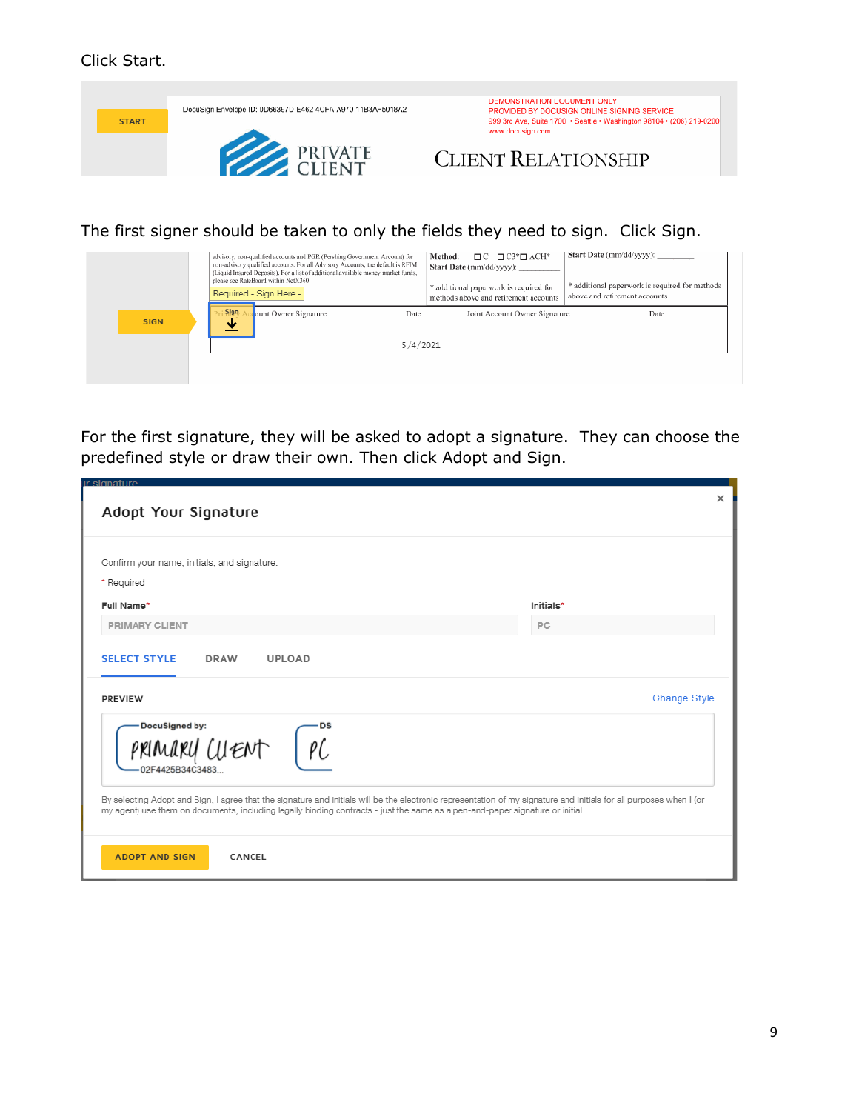## Click Start.



## The first signer should be taken to only the fields they need to sign. Click Sign.

|             | advisory, non-qualified accounts and PGR (Pershing Government Account) for<br>non-advisory qualified accounts. For all Advisory Accounts, the default is RFIM<br>(Liquid Insured Deposits). For a list of additional available money market funds.<br>please see RateBoard within NetX360.<br>Required - Sign Here - |          | Method: | $\Box$ $C$ $\Box$ $C3^*$ $\Box$ $ACH^*$<br>Start Date (mm/dd/yyyy):<br>* additional paperwork is required for<br>methods above and retirement accounts | Start Date (mm/dd/yyyy):<br>* additional paperwork is required for methods<br>above and retirement accounts |
|-------------|----------------------------------------------------------------------------------------------------------------------------------------------------------------------------------------------------------------------------------------------------------------------------------------------------------------------|----------|---------|--------------------------------------------------------------------------------------------------------------------------------------------------------|-------------------------------------------------------------------------------------------------------------|
| <b>SIGN</b> | Sign<br>ount Owner Signature<br>ste                                                                                                                                                                                                                                                                                  | Date     |         | Joint Account Owner Signature                                                                                                                          | Date                                                                                                        |
|             |                                                                                                                                                                                                                                                                                                                      | 5/4/2021 |         |                                                                                                                                                        |                                                                                                             |
|             |                                                                                                                                                                                                                                                                                                                      |          |         |                                                                                                                                                        |                                                                                                             |
|             |                                                                                                                                                                                                                                                                                                                      |          |         |                                                                                                                                                        |                                                                                                             |

For the first signature, they will be asked to adopt a signature. They can choose the predefined style or draw their own. Then click Adopt and Sign.

| ir signature.<br>Adopt Your Signature                                                                                                                                                                                                                                                                                                              | $\times$                  |
|----------------------------------------------------------------------------------------------------------------------------------------------------------------------------------------------------------------------------------------------------------------------------------------------------------------------------------------------------|---------------------------|
| Confirm your name, initials, and signature.<br>* Required<br>Full Name*                                                                                                                                                                                                                                                                            | Initials*                 |
| <b>PRIMARY CLIENT</b><br><b>SELECT STYLE</b><br><b>DRAW</b><br><b>UPLOAD</b><br><b>PREVIEW</b>                                                                                                                                                                                                                                                     | PC<br><b>Change Style</b> |
| DocuSigned by:<br>lENT<br>02F4425B34C3483.<br>By selecting Adopt and Sign, I agree that the signature and initials will be the electronic representation of my signature and initials for all purposes when I (or<br>my agent) use them on documents, including legally binding contracts - just the same as a pen-and-paper signature or initial. |                           |
| <b>ADOPT AND SIGN</b><br>CANCEL                                                                                                                                                                                                                                                                                                                    |                           |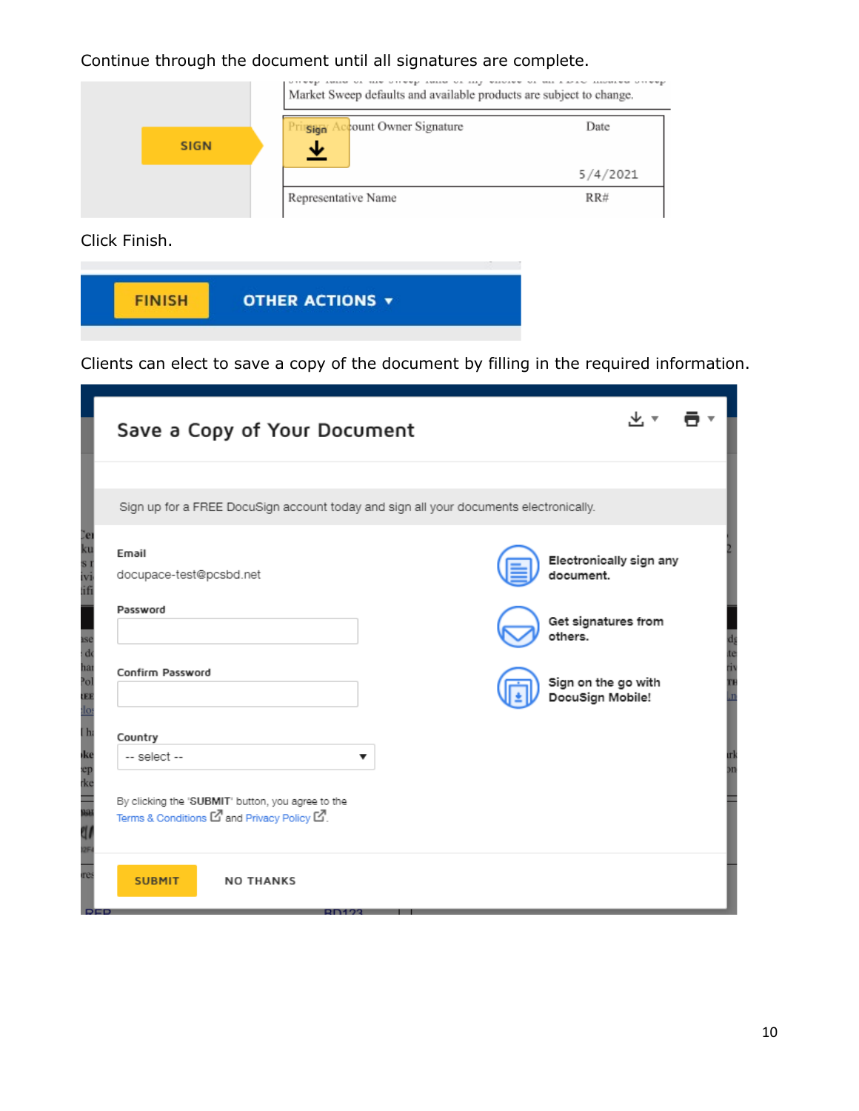## Continue through the document until all signatures are complete.

|             | Market Sweep defaults and available products are subject to change. |          |
|-------------|---------------------------------------------------------------------|----------|
| <b>SIGN</b> | count Owner Signature<br>Sign<br>₩                                  | Date     |
|             |                                                                     | 5/4/2021 |
|             | Representative Name                                                 | RR#      |

Click Finish.



Clients can elect to save a copy of the document by filling in the required information.

| Save a Copy of Your Document                                                                      |                                         |  |
|---------------------------------------------------------------------------------------------------|-----------------------------------------|--|
| Sign up for a FREE DocuSign account today and sign all your documents electronically.             |                                         |  |
| Email<br>docupace-test@pcsbd.net                                                                  | Electronically sign any<br>document.    |  |
| Password                                                                                          | Get signatures from<br>others.          |  |
| Confirm Password                                                                                  | Sign on the go with<br>DocuSign Mobile! |  |
| Country<br>-- select --                                                                           | ▼                                       |  |
| By clicking the 'SUBMIT' button, you agree to the<br>Terms & Conditions Lo and Privacy Policy Lo. |                                         |  |
| <b>SUBMIT</b><br><b>NO THANKS</b><br><b>DEE</b>                                                   |                                         |  |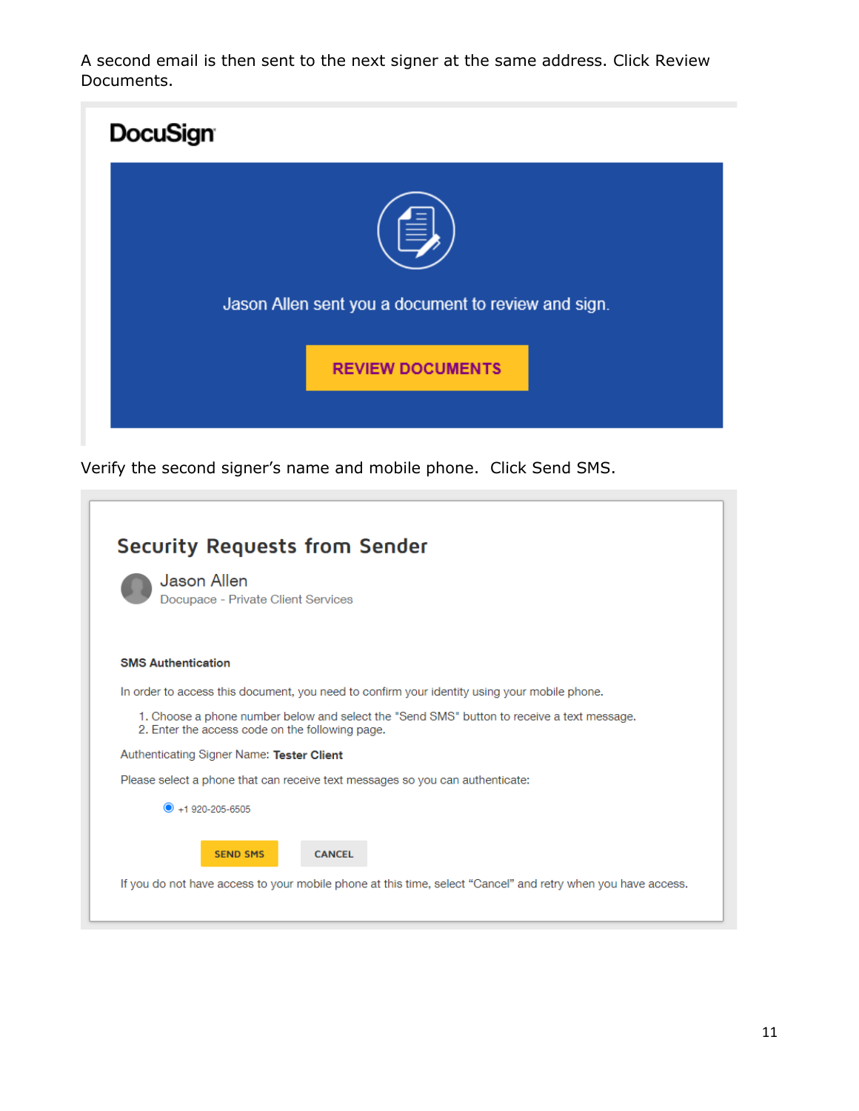A second email is then sent to the next signer at the same address. Click Review Documents.



Verify the second signer's name and mobile phone. Click Send SMS.

|                                                                                                                                               | <b>Security Requests from Sender</b><br><b>Jason Allen</b>                                                   |  |
|-----------------------------------------------------------------------------------------------------------------------------------------------|--------------------------------------------------------------------------------------------------------------|--|
|                                                                                                                                               | Docupace - Private Client Services                                                                           |  |
|                                                                                                                                               | <b>SMS Authentication</b>                                                                                    |  |
|                                                                                                                                               | In order to access this document, you need to confirm your identity using your mobile phone.                 |  |
| 1. Choose a phone number below and select the "Send SMS" button to receive a text message.<br>2. Enter the access code on the following page. |                                                                                                              |  |
|                                                                                                                                               | Authenticating Signer Name: Tester Client                                                                    |  |
|                                                                                                                                               | Please select a phone that can receive text messages so you can authenticate:                                |  |
|                                                                                                                                               | $\bullet$ +1 920-205-6505                                                                                    |  |
|                                                                                                                                               | <b>SEND SMS</b><br><b>CANCEL</b>                                                                             |  |
|                                                                                                                                               | If you do not have access to your mobile phone at this time, select "Cancel" and retry when you have access. |  |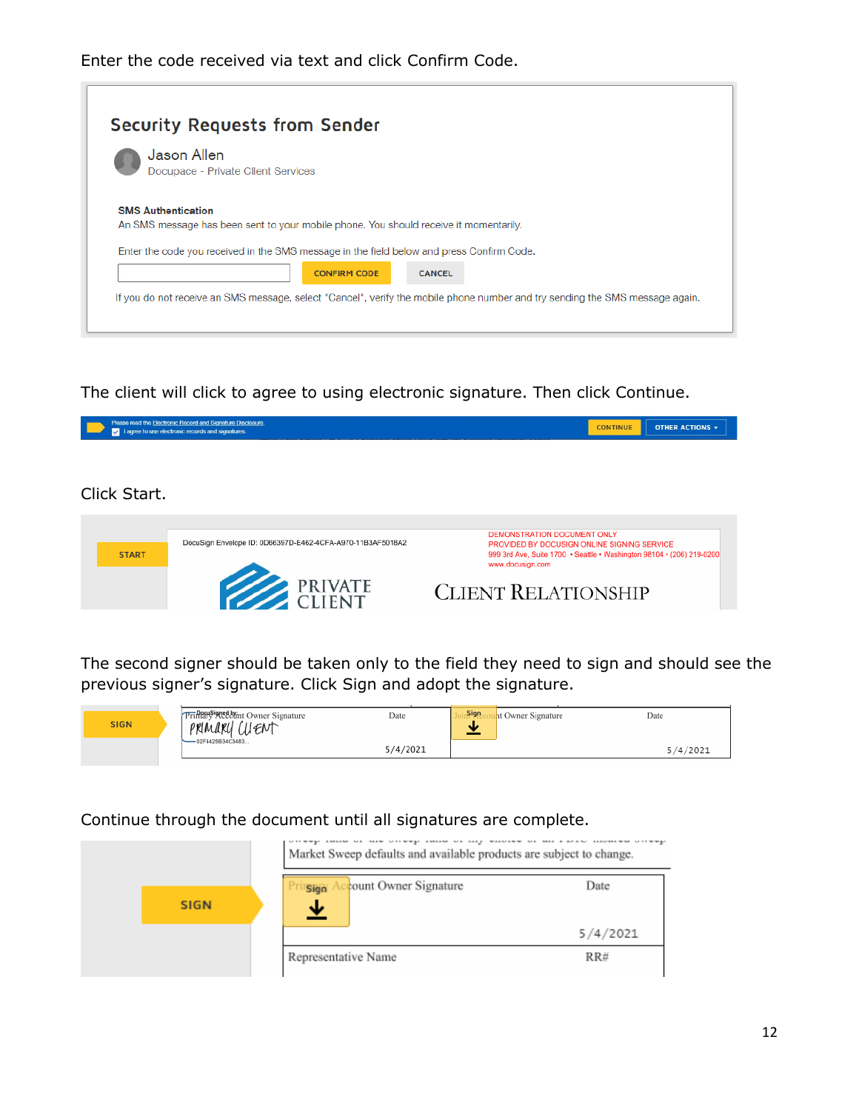

The client will click to agree to using electronic signature. Then click Continue.



The second signer should be taken only to the field they need to sign and should see the previous signer's signature. Click Sign and adopt the signature.

| <b>SIGN</b> | Pring Signal Owner Signature<br>PRIMARY CUENT<br>$-02F4425B34C3483$ | Date     | Sign.<br>ht Owner Signature | Date     |
|-------------|---------------------------------------------------------------------|----------|-----------------------------|----------|
|             |                                                                     | 5/4/2021 |                             | 5/4/2021 |

Continue through the document until all signatures are complete.

|             |                                           | Market Sweep defaults and available products are subject to change. |  |  |
|-------------|-------------------------------------------|---------------------------------------------------------------------|--|--|
| <b>SIGN</b> | count Owner Signature<br>Sign<br><u>↓</u> | Date                                                                |  |  |
|             |                                           | 5/4/2021                                                            |  |  |
|             | Representative Name                       | RR#                                                                 |  |  |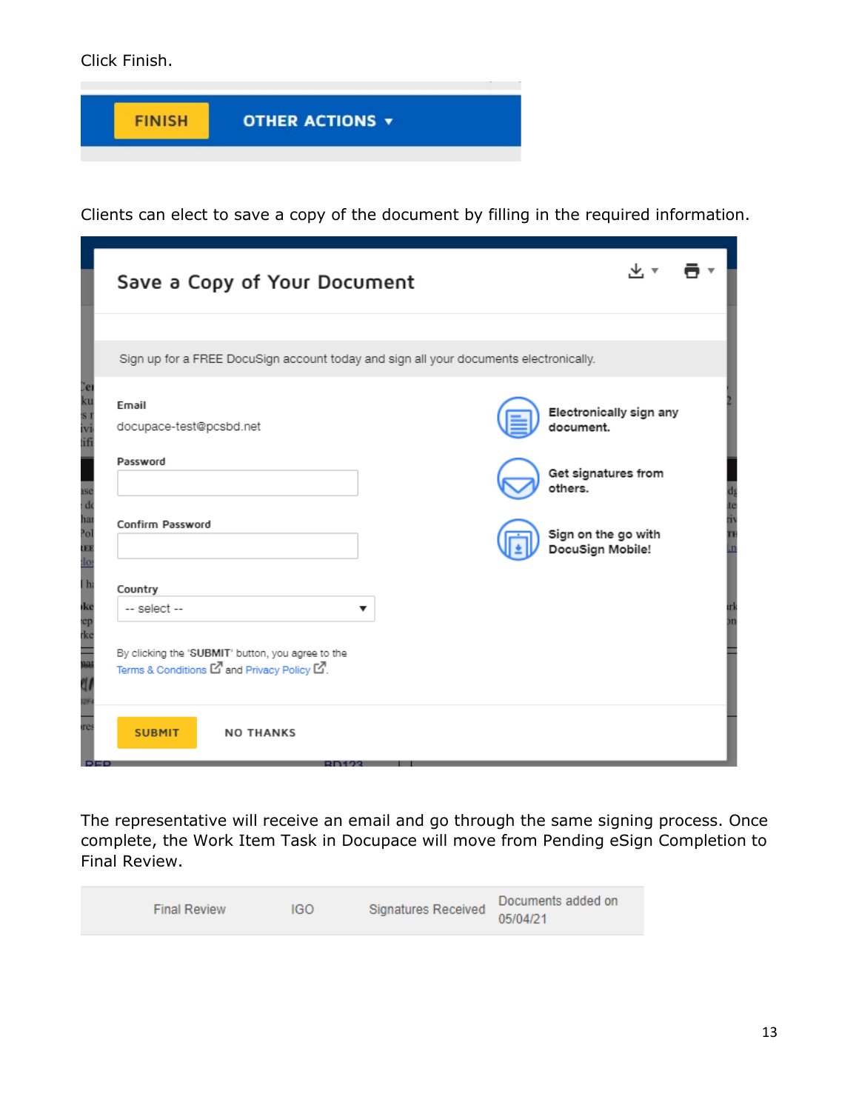Click Finish.



Clients can elect to save a copy of the document by filling in the required information.

| Save a Copy of Your Document                                                                      |   |                                         |  |
|---------------------------------------------------------------------------------------------------|---|-----------------------------------------|--|
|                                                                                                   |   |                                         |  |
| Sign up for a FREE DocuSign account today and sign all your documents electronically.             |   |                                         |  |
| Email<br>docupace-test@pcsbd.net                                                                  |   | Electronically sign any<br>document.    |  |
| Password                                                                                          |   | Get signatures from<br>others.          |  |
| Confirm Password                                                                                  |   | Sign on the go with<br>DocuSign Mobile! |  |
| Country                                                                                           |   |                                         |  |
| -- select --                                                                                      | ▼ |                                         |  |
| By clicking the 'SUBMIT' button, you agree to the<br>Terms & Conditions Lo and Privacy Policy Lo. |   |                                         |  |
| <b>SUBMIT</b><br><b>NO THANKS</b>                                                                 |   |                                         |  |

The representative will receive an email and go through the same signing process. Once complete, the Work Item Task in Docupace will move from Pending eSign Completion to Final Review.

| <b>Final Review</b> | IGO | Signatures Received | Documents added on<br>05/04/21 |
|---------------------|-----|---------------------|--------------------------------|
|                     |     |                     |                                |